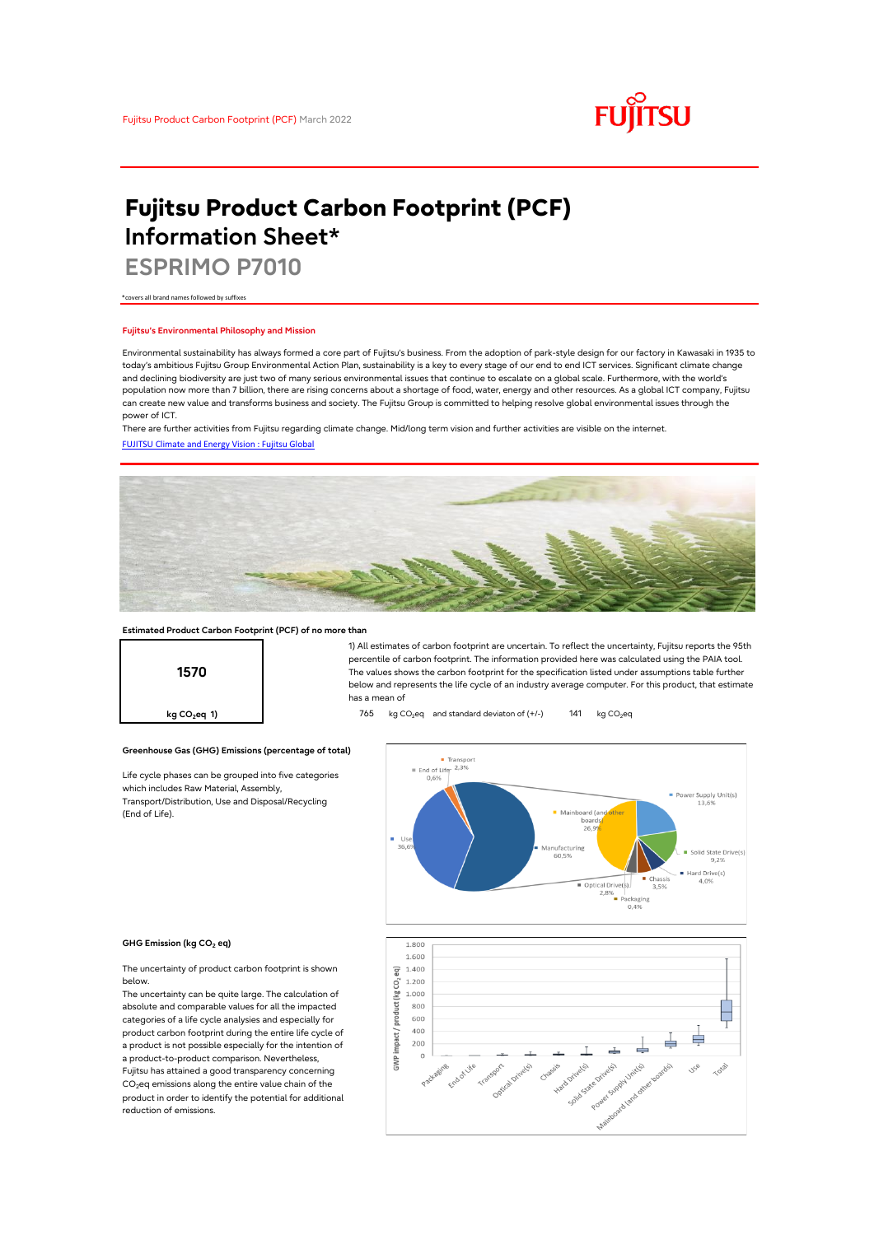

# **Fujitsu Product Carbon Footprint (PCF) Information Sheet\***

**ESPRIMO P7010**

\*covers all brand names followed by suffixes

## **Fujitsu's Environmental Philosophy and Mission**

Environmental sustainability has always formed a core part of Fujitsu's business. From the adoption of park-style design for our factory in Kawasaki in 1935 to today's ambitious Fujitsu Group Environmental Action Plan, sustainability is a key to every stage of our end to end ICT services. Significant climate change and declining biodiversity are just two of many serious environmental issues that continue to escalate on a global scale. Furthermore, with the world's population now more than 7 billion, there are rising concerns about a shortage of food, water, energy and other resources. As a global ICT company, Fujitsu can create new value and transforms business and society. The Fujitsu Group is committed to helping resolve global environmental issues through the power of ICT.

[FUJITSU Climate and Energy Vision : Fujitsu Global](https://www.fujitsu.com/global/about/environment/climate-energy-vision/) There are further activities from Fujitsu regarding climate change. Mid/long term vision and further activities are visible on the internet.



## **Estimated Product Carbon Footprint (PCF) of no more than**

**Greenhouse Gas (GHG) Emissions (percentage of total)**

Life cycle phases can be grouped into five categories

which includes Raw Material, Assembly, Transport/Distribution, Use and Disposal/Recycling



1) All estimates of carbon footprint are uncertain. To reflect the uncertainty, Fujitsu reports the 95th percentile of carbon footprint. The information provided here was calculated using the PAIA tool. The values shows the carbon footprint for the specification listed under assumptions table further below and represents the life cycle of an industry average computer. For this product, that estimate has a mean of

**kg CO<sub>2</sub>eq 1) 141** kg CO<sub>2</sub> eq and standard deviaton of (+/-) 141 kg CO<sub>2</sub> eq



#### **GHG Emission (kg CO2 eq)**

(End of Life).

The uncertainty of product carbon footprint is shown below.

The uncertainty can be quite large. The calculation of absolute and comparable values for all the impacted categories of a life cycle analysies and especially for product carbon footprint during the entire life cycle of a product is not possible especially for the intention of a product-to-product comparison. Nevertheless, Fujitsu has attained a good transparency concerning CO<sub>2</sub>eq emissions along the entire value chain of the product in order to identify the potential for additional reduction of emissions.